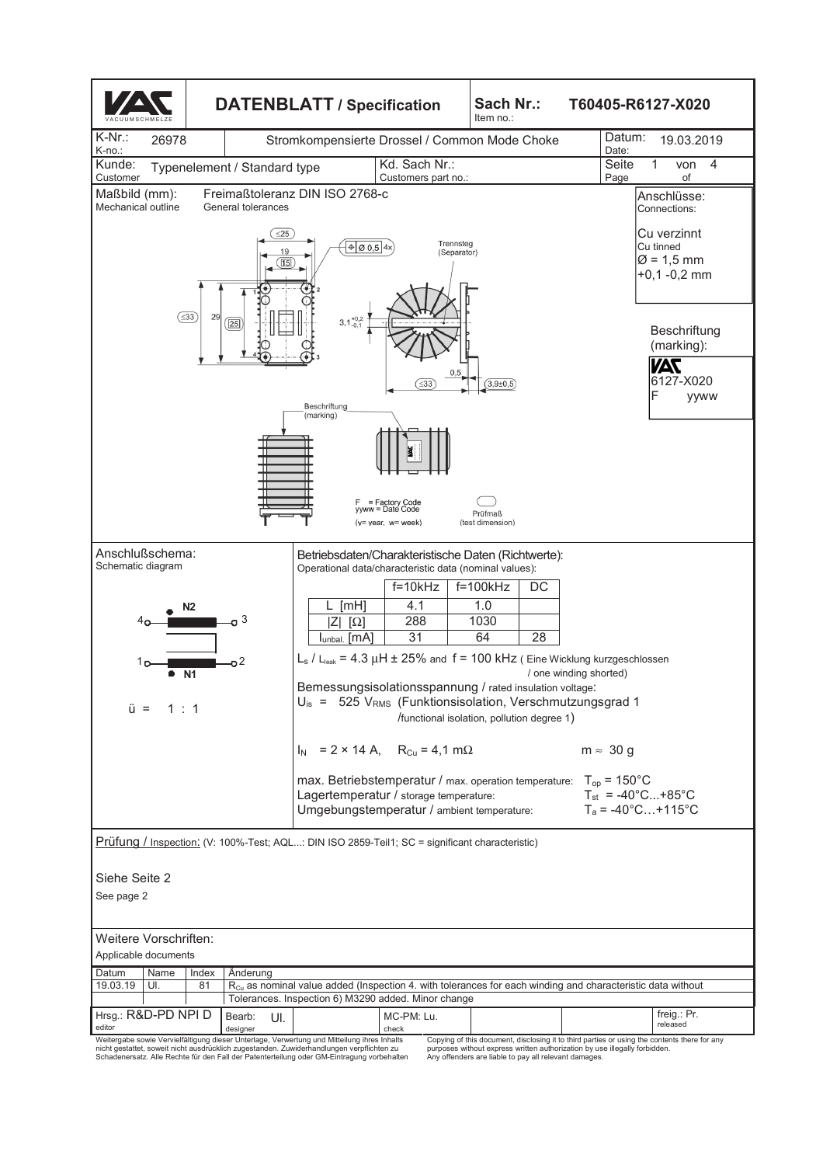

Copying of this document, disclosing it to third parties or using the contents there for any purposes without express written authorization by use illegally forbidden. Any offenders are liable to pay all relevant damages.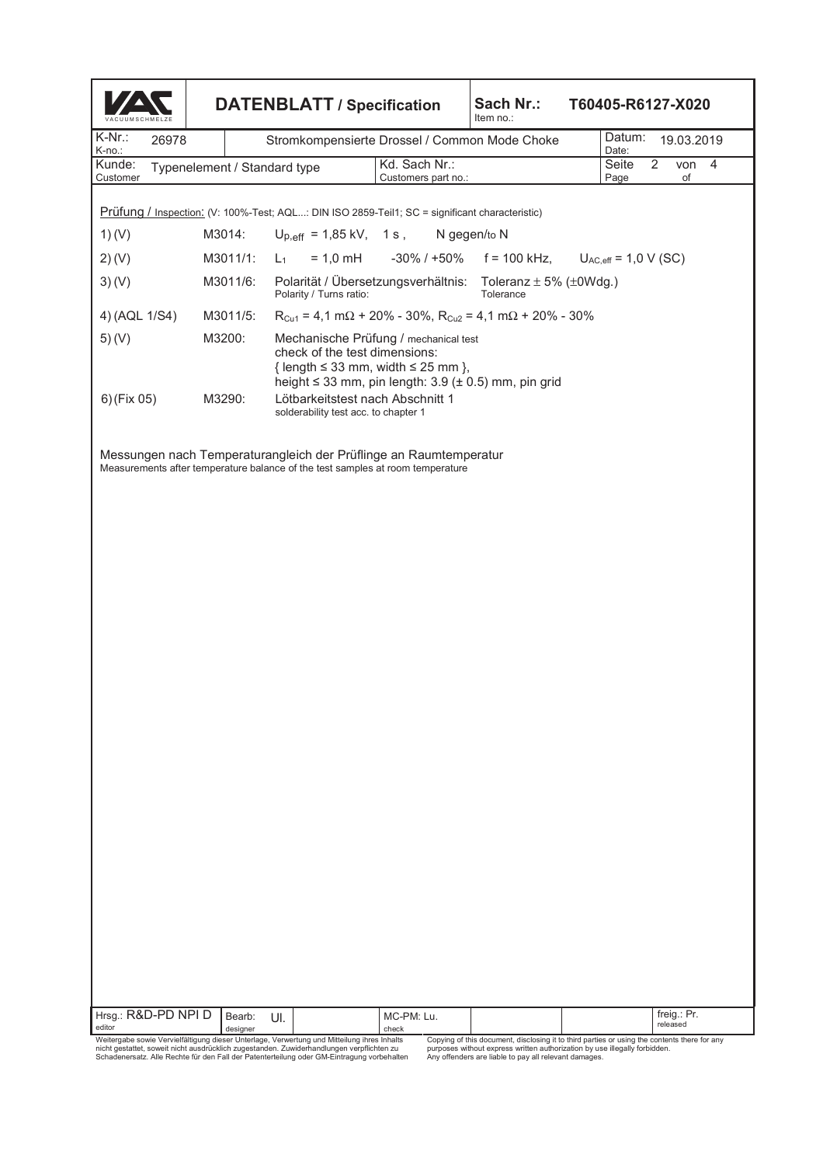| <b>DATENBLATT / Specification</b>                                                              |                                                                                                                                                                                          |                                      | Sach Nr.:<br>Item no.:                                                                                                                                                                                       | T60405-R6127-X020                                                                                                                                                                                     |                                                                                |                                           |    |                                                                                                    |
|------------------------------------------------------------------------------------------------|------------------------------------------------------------------------------------------------------------------------------------------------------------------------------------------|--------------------------------------|--------------------------------------------------------------------------------------------------------------------------------------------------------------------------------------------------------------|-------------------------------------------------------------------------------------------------------------------------------------------------------------------------------------------------------|--------------------------------------------------------------------------------|-------------------------------------------|----|----------------------------------------------------------------------------------------------------|
|                                                                                                |                                                                                                                                                                                          |                                      |                                                                                                                                                                                                              | Datum:<br>19.03.2019                                                                                                                                                                                  |                                                                                |                                           |    |                                                                                                    |
|                                                                                                |                                                                                                                                                                                          | Kd. Sach Nr.:<br>Customers part no.: |                                                                                                                                                                                                              |                                                                                                                                                                                                       | Seite<br>Page                                                                  | 2                                         | of | 4                                                                                                  |
| Prüfung / Inspection: (V: 100%-Test; AQL: DIN ISO 2859-Teil1; SC = significant characteristic) |                                                                                                                                                                                          |                                      |                                                                                                                                                                                                              |                                                                                                                                                                                                       |                                                                                |                                           |    |                                                                                                    |
|                                                                                                |                                                                                                                                                                                          |                                      |                                                                                                                                                                                                              |                                                                                                                                                                                                       |                                                                                |                                           |    |                                                                                                    |
| M3011/1:                                                                                       | $L_1$                                                                                                                                                                                    |                                      |                                                                                                                                                                                                              |                                                                                                                                                                                                       |                                                                                |                                           |    |                                                                                                    |
| M3011/6:                                                                                       |                                                                                                                                                                                          |                                      | Tolerance                                                                                                                                                                                                    |                                                                                                                                                                                                       |                                                                                |                                           |    |                                                                                                    |
| M3011/5:                                                                                       |                                                                                                                                                                                          |                                      |                                                                                                                                                                                                              |                                                                                                                                                                                                       |                                                                                |                                           |    |                                                                                                    |
| M3200:                                                                                         | Mechanische Prüfung / mechanical test<br>check of the test dimensions:<br>{ length $\leq$ 33 mm, width $\leq$ 25 mm },<br>height $\leq$ 33 mm, pin length: 3.9 ( $\pm$ 0.5) mm, pin grid |                                      |                                                                                                                                                                                                              |                                                                                                                                                                                                       |                                                                                |                                           |    |                                                                                                    |
| M3290:                                                                                         |                                                                                                                                                                                          |                                      |                                                                                                                                                                                                              |                                                                                                                                                                                                       |                                                                                |                                           |    |                                                                                                    |
|                                                                                                |                                                                                                                                                                                          |                                      |                                                                                                                                                                                                              |                                                                                                                                                                                                       |                                                                                |                                           |    |                                                                                                    |
|                                                                                                |                                                                                                                                                                                          |                                      |                                                                                                                                                                                                              |                                                                                                                                                                                                       |                                                                                |                                           |    |                                                                                                    |
|                                                                                                | 26978<br>M3014:<br>Hrsg.: R&D-PD NPI D<br>Bearb:<br>designer                                                                                                                             | Typenelement / Standard type<br>UI.  | Polarity / Turns ratio:<br>Lötbarkeitstest nach Abschnitt 1<br>solderability test acc. to chapter 1<br>Measurements after temperature balance of the test samples at room temperature<br>MC-PM: Lu.<br>check | Stromkompensierte Drossel / Common Mode Choke<br>$U_{p,eff}$ = 1,85 kV, 1 s, N gegen/to N<br>Polarität / Übersetzungsverhältnis:<br>Messungen nach Temperaturangleich der Prüflinge an Raumtemperatur | $R_{Cu1} = 4.1$ m $\Omega$ + 20% - 30%, $R_{Cu2} = 4.1$ m $\Omega$ + 20% - 30% | Date:<br>Toleranz $\pm$ 5% ( $\pm$ 0Wdg.) |    | von<br>$= 1.0$ mH $-30\%$ / +50% f = 100 kHz, $U_{AC,eff} = 1.0$ V (SC)<br>freig.: Pr.<br>released |

editor<br>Weitergabe sowie Vervielfältigung dieser Unterlage, Verwertung und Mitteilung ihres Inhalts<br>nicht gestattet, soweit nicht ausdrücklich zugestanden. Zuwiderhandlungen verpflichten zu<br>Schadenersatz. Alle Rechte für d

Copying of this document, disclosing it to third parties or using the contents there for any<br>purposes without express written authorization by use illegally forbidden.<br>Any offenders are liable to pay all relevant damages.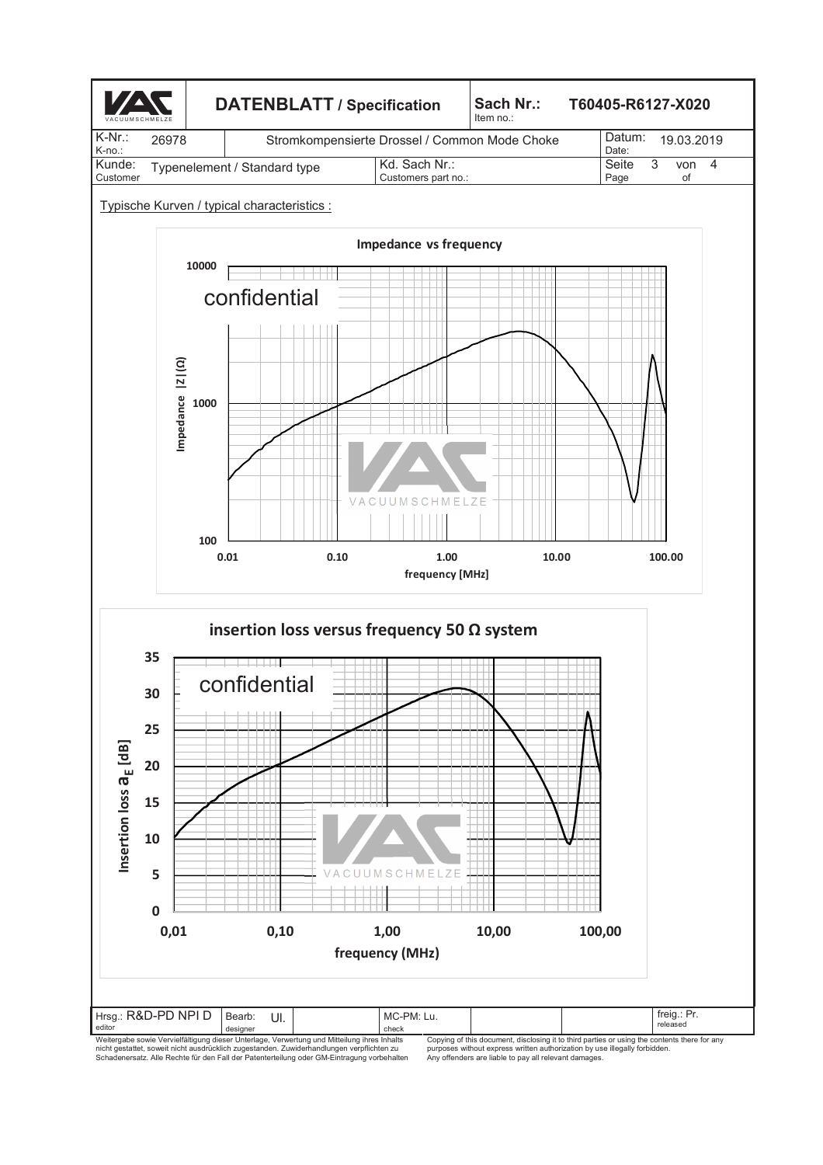

idesigner<br>Weitergabe sowie Vervielfältigung dieser Unterlage, Verwertung und Mitteilung ihre sinhalts<br>hicht gestattet, soweit nicht ausdrückich zugestanden. Zuwiderhandlungen verpflichten zu<br>Schadenersatz. Alle Rechte für

Copying of this document, disclosing it to third parties or using the contents there for any<br>purposes without express written authorization by use illegally forbidden.<br>Any offenders are liable to pay all relevant damages.